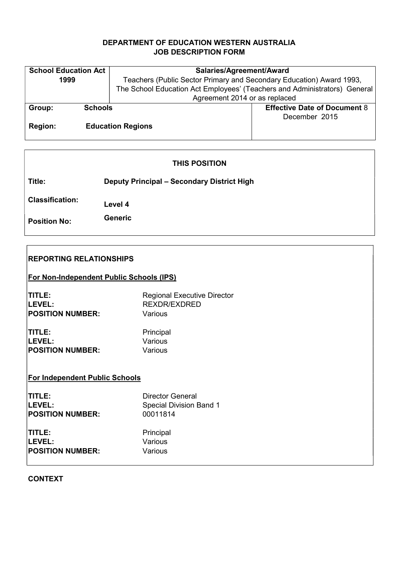# DEPARTMENT OF EDUCATION WESTERN AUSTRALIA JOB DESCRIPTION FORM

| <b>School Education Act</b> |                | Salaries/Agreement/Award                                                  |                                     |  |
|-----------------------------|----------------|---------------------------------------------------------------------------|-------------------------------------|--|
| 1999                        |                | Teachers (Public Sector Primary and Secondary Education) Award 1993,      |                                     |  |
|                             |                | The School Education Act Employees' (Teachers and Administrators) General |                                     |  |
|                             |                | Agreement 2014 or as replaced                                             |                                     |  |
| Group:                      | <b>Schools</b> |                                                                           | <b>Effective Date of Document 8</b> |  |
|                             |                |                                                                           | December 2015                       |  |
| <b>Region:</b>              |                | <b>Education Regions</b>                                                  |                                     |  |
|                             |                |                                                                           |                                     |  |

# THIS POSITION

Title: Deputy Principal – Secondary District High

Classification: Level 4

Position No: Generic

| <b>REPORTING RELATIONSHIPS</b>                  |                                    |  |  |
|-------------------------------------------------|------------------------------------|--|--|
| <b>For Non-Independent Public Schools (IPS)</b> |                                    |  |  |
| TITLE:                                          | <b>Regional Executive Director</b> |  |  |
| LEVEL:                                          | <b>REXDR/EXDRED</b>                |  |  |
| <b>POSITION NUMBER:</b>                         | Various                            |  |  |
| TITLE:                                          | Principal                          |  |  |
| LEVEL:                                          | Various                            |  |  |
| <b>POSITION NUMBER:</b>                         | Various                            |  |  |
| <b>For Independent Public Schools</b>           |                                    |  |  |
| TITLE:                                          | <b>Director General</b>            |  |  |
| LEVEL:                                          | <b>Special Division Band 1</b>     |  |  |
| <b>POSITION NUMBER:</b>                         | 00011814                           |  |  |
| TITLE:                                          | Principal                          |  |  |
| LEVEL:                                          | Various                            |  |  |
| <b>POSITION NUMBER:</b>                         | Various                            |  |  |

CONTEXT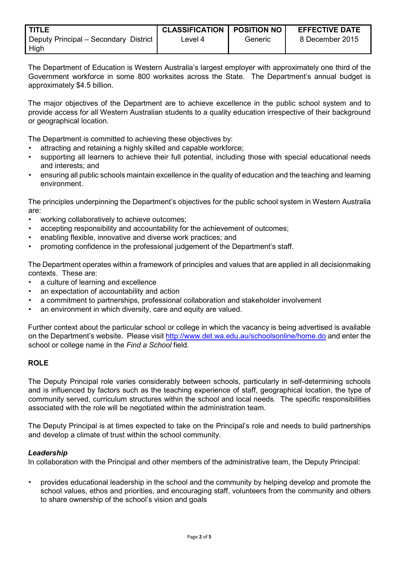| <b>TITLE</b>                          | <b>CLASSIFICATION   POSITION NO</b> |         | <b>EFFECTIVE DATE</b> |
|---------------------------------------|-------------------------------------|---------|-----------------------|
| Deputy Principal - Secondary District | Level 4                             | Generic | 8 December 2015       |
| High                                  |                                     |         |                       |

The Department of Education is Western Australia's largest employer with approximately one third of the Government workforce in some 800 worksites across the State. The Department's annual budget is approximately \$4.5 billion.

The major objectives of the Department are to achieve excellence in the public school system and to provide access for all Western Australian students to a quality education irrespective of their background or geographical location.

The Department is committed to achieving these objectives by:

- attracting and retaining a highly skilled and capable workforce;
- supporting all learners to achieve their full potential, including those with special educational needs and interests; and
- ensuring all public schools maintain excellence in the quality of education and the teaching and learning environment.

The principles underpinning the Department's objectives for the public school system in Western Australia are:

- working collaboratively to achieve outcomes;
- accepting responsibility and accountability for the achievement of outcomes;
- enabling flexible, innovative and diverse work practices; and
- promoting confidence in the professional judgement of the Department's staff.

The Department operates within a framework of principles and values that are applied in all decisionmaking contexts. These are:

- a culture of learning and excellence
- an expectation of accountability and action
- a commitment to partnerships, professional collaboration and stakeholder involvement
- an environment in which diversity, care and equity are valued.

Further context about the particular school or college in which the vacancy is being advertised is available on the Department's website. Please visit http://www.det.wa.edu.au/schoolsonline/home.do and enter the school or college name in the Find a School field.

# **ROLE**

The Deputy Principal role varies considerably between schools, particularly in self-determining schools and is influenced by factors such as the teaching experience of staff, geographical location, the type of community served, curriculum structures within the school and local needs. The specific responsibilities associated with the role will be negotiated within the administration team.

The Deputy Principal is at times expected to take on the Principal's role and needs to build partnerships and develop a climate of trust within the school community.

#### Leadership

In collaboration with the Principal and other members of the administrative team, the Deputy Principal:

• provides educational leadership in the school and the community by helping develop and promote the school values, ethos and priorities, and encouraging staff, volunteers from the community and others to share ownership of the school's vision and goals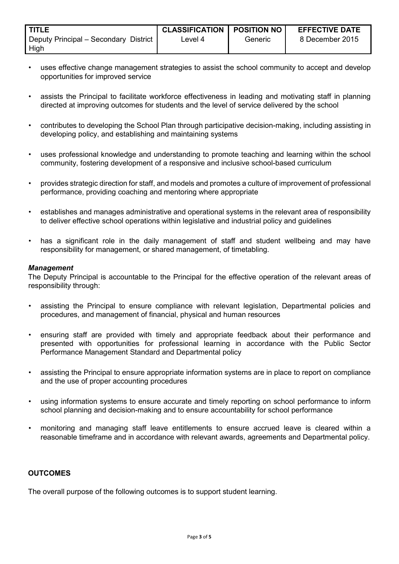| <b>TITLE</b>                                  | <b>CLASSIFICATION</b> | <b>I POSITION NO</b> | <b>EFFECTIVE DATE</b> |
|-----------------------------------------------|-----------------------|----------------------|-----------------------|
| Deputy Principal – Secondary District<br>High | Level 4               | Generic              | 8 December 2015       |

- uses effective change management strategies to assist the school community to accept and develop opportunities for improved service
- assists the Principal to facilitate workforce effectiveness in leading and motivating staff in planning directed at improving outcomes for students and the level of service delivered by the school
- contributes to developing the School Plan through participative decision-making, including assisting in developing policy, and establishing and maintaining systems
- uses professional knowledge and understanding to promote teaching and learning within the school community, fostering development of a responsive and inclusive school-based curriculum
- provides strategic direction for staff, and models and promotes a culture of improvement of professional performance, providing coaching and mentoring where appropriate
- establishes and manages administrative and operational systems in the relevant area of responsibility to deliver effective school operations within legislative and industrial policy and guidelines
- has a significant role in the daily management of staff and student wellbeing and may have responsibility for management, or shared management, of timetabling.

#### **Management**

The Deputy Principal is accountable to the Principal for the effective operation of the relevant areas of responsibility through:

- assisting the Principal to ensure compliance with relevant legislation, Departmental policies and procedures, and management of financial, physical and human resources
- ensuring staff are provided with timely and appropriate feedback about their performance and presented with opportunities for professional learning in accordance with the Public Sector Performance Management Standard and Departmental policy
- assisting the Principal to ensure appropriate information systems are in place to report on compliance and the use of proper accounting procedures
- using information systems to ensure accurate and timely reporting on school performance to inform school planning and decision-making and to ensure accountability for school performance
- monitoring and managing staff leave entitlements to ensure accrued leave is cleared within a reasonable timeframe and in accordance with relevant awards, agreements and Departmental policy.

# **OUTCOMES**

The overall purpose of the following outcomes is to support student learning.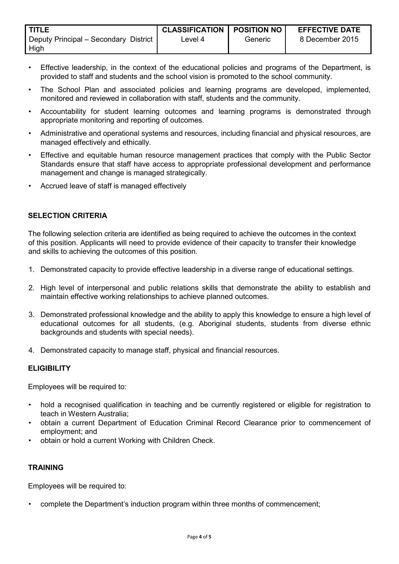| I TITLE.                              | <b>CLASSIFICATION   POSITION NO</b> |         | <b>EFFECTIVE DATE</b> |
|---------------------------------------|-------------------------------------|---------|-----------------------|
| Deputy Principal - Secondary District | ∟evel 4                             | Generic | 8 December 2015       |
| High                                  |                                     |         |                       |

- Effective leadership, in the context of the educational policies and programs of the Department, is provided to staff and students and the school vision is promoted to the school community.
- The School Plan and associated policies and learning programs are developed, implemented, monitored and reviewed in collaboration with staff, students and the community.
- Accountability for student learning outcomes and learning programs is demonstrated through appropriate monitoring and reporting of outcomes.
- Administrative and operational systems and resources, including financial and physical resources, are managed effectively and ethically.
- Effective and equitable human resource management practices that comply with the Public Sector Standards ensure that staff have access to appropriate professional development and performance management and change is managed strategically.
- Accrued leave of staff is managed effectively

# SELECTION CRITERIA

The following selection criteria are identified as being required to achieve the outcomes in the context of this position. Applicants will need to provide evidence of their capacity to transfer their knowledge and skills to achieving the outcomes of this position.

- 1. Demonstrated capacity to provide effective leadership in a diverse range of educational settings.
- 2. High level of interpersonal and public relations skills that demonstrate the ability to establish and maintain effective working relationships to achieve planned outcomes.
- 3. Demonstrated professional knowledge and the ability to apply this knowledge to ensure a high level of educational outcomes for all students, (e.g. Aboriginal students, students from diverse ethnic backgrounds and students with special needs).
- 4. Demonstrated capacity to manage staff, physical and financial resources.

#### **ELIGIBILITY**

Employees will be required to:

- hold a recognised qualification in teaching and be currently registered or eligible for registration to teach in Western Australia;
- obtain a current Department of Education Criminal Record Clearance prior to commencement of employment; and
- obtain or hold a current Working with Children Check.

## **TRAINING**

Employees will be required to:

• complete the Department's induction program within three months of commencement;